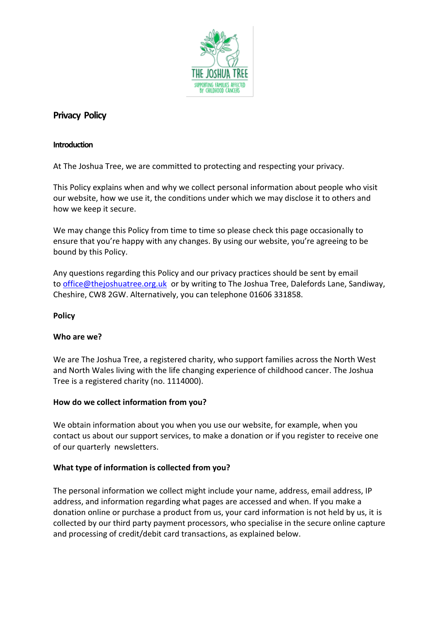

# **Privacy Policy**

### **Introduction**

At The Joshua Tree, we are committed to protecting and respecting your privacy.

This Policy explains when and why we collect personal information about people who visit our website, how we use it, the conditions under which we may disclose it to others and how we keep it secure.

We may change this Policy from time to time so please check this page occasionally to ensure that you're happy with any changes. By using our website, you're agreeing to be bound by this Policy.

Any questions regarding this Policy and our privacy practices should be sent by email to [office@thejoshuatree.org.uk](mailto:office@thejoshuatree.org.uk) or by writing to The Joshua Tree, Dalefords Lane, Sandiway, Cheshire, CW8 2GW. Alternatively, you can telephone 01606 331858.

# **Policy**

# **Who are we?**

We are The Joshua Tree, a registered charity, who support families across the North West and North Wales living with the life changing experience of childhood cancer. The Joshua Tree is a registered charity (no. 1114000).

# **How do we collect information from you?**

We obtain information about you when you use our website, for example, when you contact us about our support services, to make a donation or if you register to receive one of our quarterly newsletters.

# **What type of information is collected from you?**

The personal information we collect might include your name, address, email address, IP address, and information regarding what pages are accessed and when. If you make a donation online or purchase a product from us, your card information is not held by us, it is collected by our third party payment processors, who specialise in the secure online capture and processing of credit/debit card transactions, as explained below.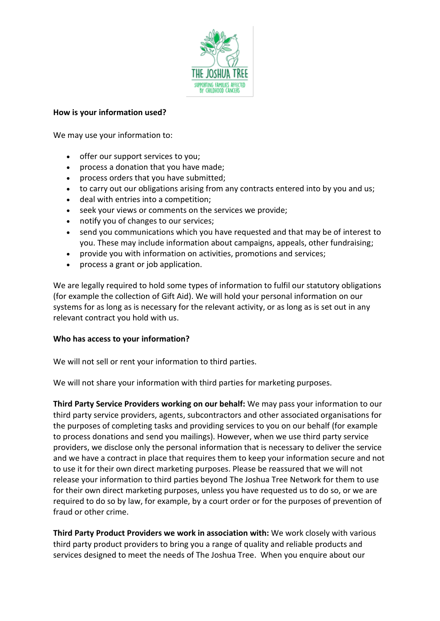

#### **How is your information used?**

We may use your information to:

- offer our support services to you;
- process a donation that you have made;
- process orders that you have submitted;
- to carry out our obligations arising from any contracts entered into by you and us;
- deal with entries into a competition;
- seek your views or comments on the services we provide;
- notify you of changes to our services;
- send you communications which you have requested and that may be of interest to you. These may include information about campaigns, appeals, other fundraising;
- provide you with information on activities, promotions and services;
- process a grant or job application.

We are legally required to hold some types of information to fulfil our statutory obligations (for example the collection of Gift Aid). We will hold your personal information on our systems for as long as is necessary for the relevant activity, or as long as is set out in any relevant contract you hold with us.

#### **Who has access to your information?**

We will not sell or rent your information to third parties.

We will not share your information with third parties for marketing purposes.

**Third Party Service Providers working on our behalf:** We may pass your information to our third party service providers, agents, subcontractors and other associated organisations for the purposes of completing tasks and providing services to you on our behalf (for example to process donations and send you mailings). However, when we use third party service providers, we disclose only the personal information that is necessary to deliver the service and we have a contract in place that requires them to keep your information secure and not to use it for their own direct marketing purposes. Please be reassured that we will not release your information to third parties beyond The Joshua Tree Network for them to use for their own direct marketing purposes, unless you have requested us to do so, or we are required to do so by law, for example, by a court order or for the purposes of prevention of fraud or other crime.

**Third Party Product Providers we work in association with:** We work closely with various third party product providers to bring you a range of quality and reliable products and services designed to meet the needs of The Joshua Tree. When you enquire about our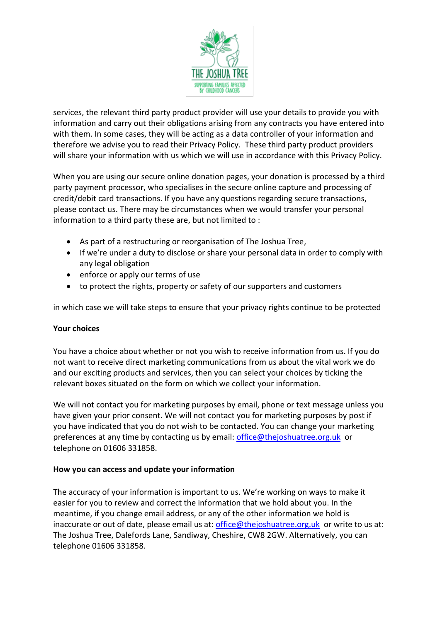

services, the relevant third party product provider will use your details to provide you with information and carry out their obligations arising from any contracts you have entered into with them. In some cases, they will be acting as a data controller of your information and therefore we advise you to read their Privacy Policy. These third party product providers will share your information with us which we will use in accordance with this Privacy Policy.

When you are using our secure online donation pages, your donation is processed by a third party payment processor, who specialises in the secure online capture and processing of credit/debit card transactions. If you have any questions regarding secure transactions, please contact us. There may be circumstances when we would transfer your personal information to a third party these are, but not limited to :

- As part of a restructuring or reorganisation of The Joshua Tree,
- If we're under a duty to disclose or share your personal data in order to comply with any legal obligation
- enforce or apply our terms of use
- to protect the rights, property or safety of our supporters and customers

in which case we will take steps to ensure that your privacy rights continue to be protected

# **Your choices**

You have a choice about whether or not you wish to receive information from us. If you do not want to receive direct marketing communications from us about the vital work we do and our exciting products and services, then you can select your choices by ticking the relevant boxes situated on the form on which we collect your information.

We will not contact you for marketing purposes by email, phone or text message unless you have given your prior consent. We will not contact you for marketing purposes by post if you have indicated that you do not wish to be contacted. You can change your marketing preferences at any time by contacting us by email: [office@thejoshuatree.org.uk](mailto:office@thejoshuatree.org.uk) or telephone on 01606 331858.

#### **How you can access and update your information**

The accuracy of your information is important to us. We're working on ways to make it easier for you to review and correct the information that we hold about you. In the meantime, if you change email address, or any of the other information we hold is inaccurate or out of date, please email us at: [office@thejoshuatree.org.uk](mailto:office@thejoshuatree.org.uk) or write to us at: The Joshua Tree, Dalefords Lane, Sandiway, Cheshire, CW8 2GW. Alternatively, you can telephone 01606 331858.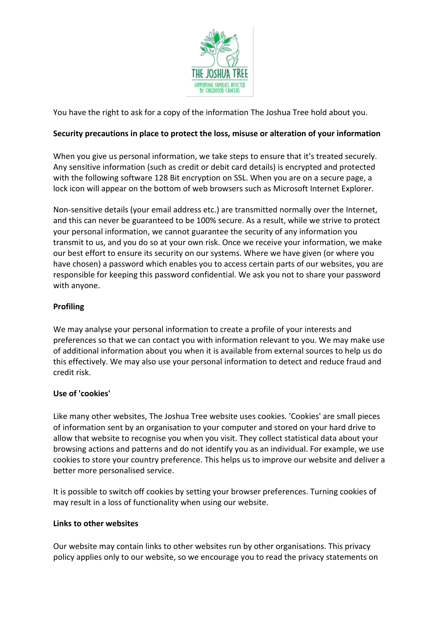

You have the right to ask for a copy of the information The Joshua Tree hold about you.

# **Security precautions in place to protect the loss, misuse or alteration of your information**

When you give us personal information, we take steps to ensure that it's treated securely. Any sensitive information (such as credit or debit card details) is encrypted and protected with the following software 128 Bit encryption on SSL. When you are on a secure page, a lock icon will appear on the bottom of web browsers such as Microsoft Internet Explorer.

Non-sensitive details (your email address etc.) are transmitted normally over the Internet, and this can never be guaranteed to be 100% secure. As a result, while we strive to protect your personal information, we cannot guarantee the security of any information you transmit to us, and you do so at your own risk. Once we receive your information, we make our best effort to ensure its security on our systems. Where we have given (or where you have chosen) a password which enables you to access certain parts of our websites, you are responsible for keeping this password confidential. We ask you not to share your password with anyone.

# **Profiling**

We may analyse your personal information to create a profile of your interests and preferences so that we can contact you with information relevant to you. We may make use of additional information about you when it is available from external sources to help us do this effectively. We may also use your personal information to detect and reduce fraud and credit risk.

# **Use of 'cookies'**

Like many other websites, The Joshua Tree website uses cookies. 'Cookies' are small pieces of information sent by an organisation to your computer and stored on your hard drive to allow that website to recognise you when you visit. They collect statistical data about your browsing actions and patterns and do not identify you as an individual. For example, we use cookies to store your country preference. This helps us to improve our website and deliver a better more personalised service.

It is possible to switch off cookies by setting your browser preferences. Turning cookies of may result in a loss of functionality when using our website.

# **Links to other websites**

Our website may contain links to other websites run by other organisations. This privacy policy applies only to our website, so we encourage you to read the privacy statements on